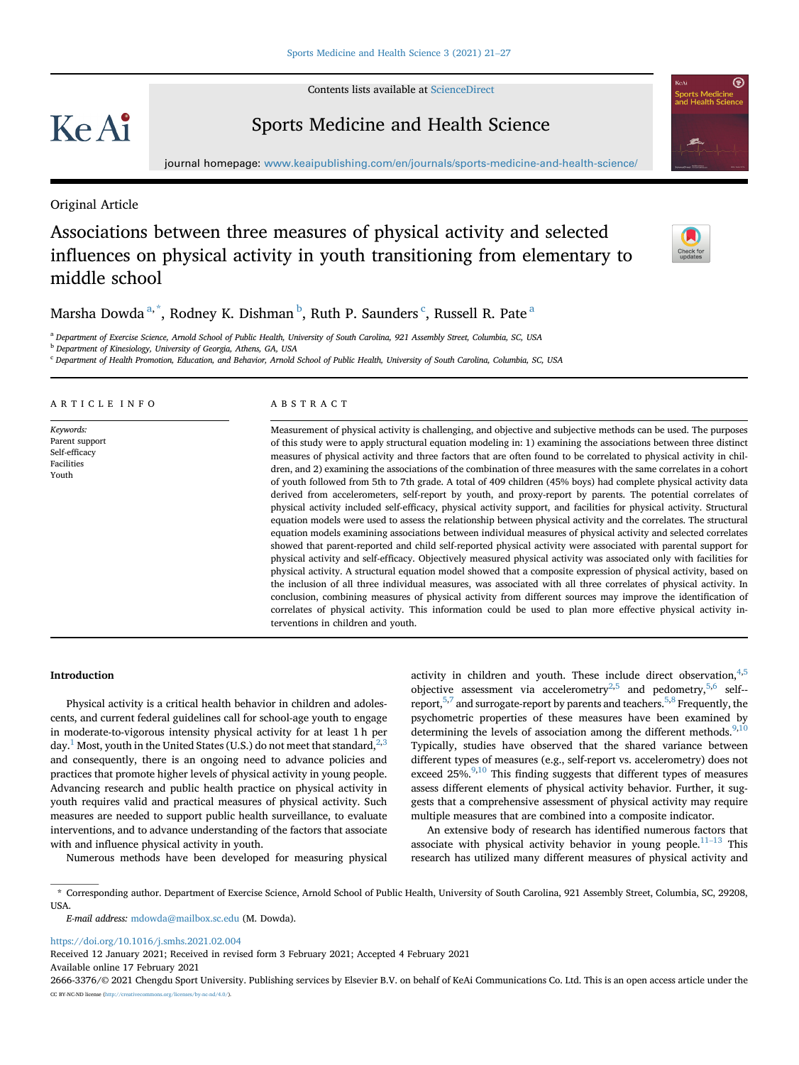Contents lists available at [ScienceDirect](www.sciencedirect.com/science/journal/26663376)

# Ke Ai

### Sports Medicine and Health Science



journal homepage: <www.keaipublishing.com/en/journals/sports-medicine-and-health-science/>

Original Article

## Associations between three measures of physical activity and selected influences on physical activity in youth transitioning from elementary to middle school



M[a](#page-0-0)rsha Dowda  $^{a,\, *}$  $^{a,\, *}$  $^{a,\, *}$ , Rodney K. Dishman  $^b$  $^b$ , Ruth P. Saunders  $^c$  $^c$ , Russell R. Pate  $^a$ 

<span id="page-0-0"></span><sup>a</sup> Department of Exercise Science, Arnold School of Public Health, University of South Carolina, 921 Assembly Street, Columbia, SC, USA

<span id="page-0-2"></span>**b** Department of Kinesiology, University of Georgia, Athens, GA, USA

<span id="page-0-3"></span><sup>c</sup> Department of Health Promotion, Education, and Behavior, Arnold School of Public Health, University of South Carolina, Columbia, SC, USA

#### ARTICLE INFO

Keywords: Parent support Self-efficacy Facilities Youth

#### ABSTRACT

Measurement of physical activity is challenging, and objective and subjective methods can be used. The purposes of this study were to apply structural equation modeling in: 1) examining the associations between three distinct measures of physical activity and three factors that are often found to be correlated to physical activity in children, and 2) examining the associations of the combination of three measures with the same correlates in a cohort of youth followed from 5th to 7th grade. A total of 409 children (45% boys) had complete physical activity data derived from accelerometers, self-report by youth, and proxy-report by parents. The potential correlates of physical activity included self-efficacy, physical activity support, and facilities for physical activity. Structural equation models were used to assess the relationship between physical activity and the correlates. The structural equation models examining associations between individual measures of physical activity and selected correlates showed that parent-reported and child self-reported physical activity were associated with parental support for physical activity and self-efficacy. Objectively measured physical activity was associated only with facilities for physical activity. A structural equation model showed that a composite expression of physical activity, based on the inclusion of all three individual measures, was associated with all three correlates of physical activity. In conclusion, combining measures of physical activity from different sources may improve the identification of correlates of physical activity. This information could be used to plan more effective physical activity interventions in children and youth.

#### Introduction

Physical activity is a critical health behavior in children and adolescents, and current federal guidelines call for school-age youth to engage in moderate-to-vigorous intensity physical activity for at least 1 h per day.<sup>1</sup> Most, youth in the United States (U.S.) do not meet that standard,  $2,3$  $2,3$ and consequently, there is an ongoing need to advance policies and practices that promote higher levels of physical activity in young people. Advancing research and public health practice on physical activity in youth requires valid and practical measures of physical activity. Such measures are needed to support public health surveillance, to evaluate interventions, and to advance understanding of the factors that associate with and influence physical activity in youth.

Numerous methods have been developed for measuring physical

activity in children and youth. These include direct observation,  $4,5$  $4,5$ objective assessment via accelerometry<sup>[2](#page-5-1),[5](#page-5-4)</sup> and pedometry,<sup>5[,6](#page-5-5)</sup> self-report,  $5,7$  $5,7$  and surrogate-report by parents and teachers.  $5,8$  $5,8$  Frequently, the psychometric properties of these measures have been examined by determining the levels of association among the different methods.  $9,10$  $9,10$ Typically, studies have observed that the shared variance between different types of measures (e.g., self-report vs. accelerometry) does not exceed  $25\%$ ,  $\frac{9,10}{10}$  $\frac{9,10}{10}$  $\frac{9,10}{10}$  This finding suggests that different types of measures assess different elements of physical activity behavior. Further, it suggests that a comprehensive assessment of physical activity may require multiple measures that are combined into a composite indicator.

An extensive body of research has identified numerous factors that associate with physical activity behavior in young people. $11-13$  $11-13$  This research has utilized many different measures of physical activity and

<span id="page-0-1"></span>\* Corresponding author. Department of Exercise Science, Arnold School of Public Health, University of South Carolina, 921 Assembly Street, Columbia, SC, 29208, USA.

E-mail address: [mdowda@mailbox.sc.edu](mailto:mdowda@mailbox.sc.edu) (M. Dowda).

<https://doi.org/10.1016/j.smhs.2021.02.004>

Received 12 January 2021; Received in revised form 3 February 2021; Accepted 4 February 2021

Available online 17 February 2021

2666-3376/© 2021 Chengdu Sport University. Publishing services by Elsevier B.V. on behalf of KeAi Communications Co. Ltd. This is an open access article under the CC BY-NC-ND license [\(http://creativecommons.org/licenses/by-nc-nd/4.0/](http://creativecommons.org/licenses/by-nc-nd/4.0/)).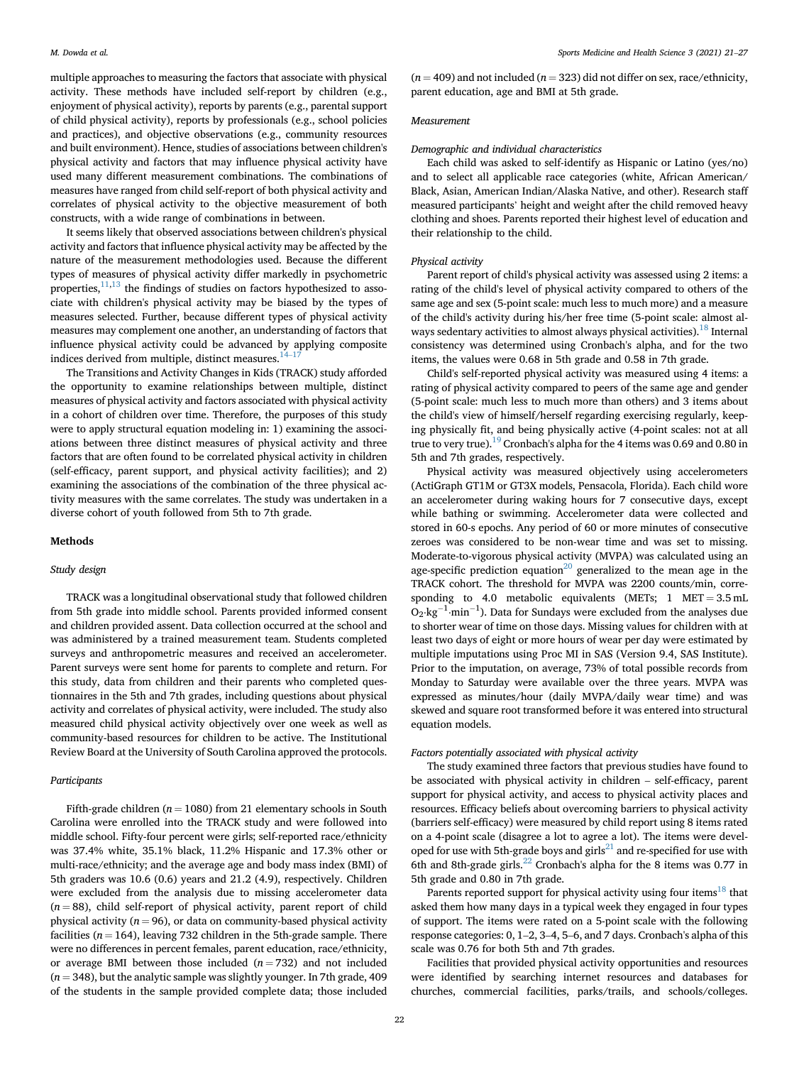multiple approaches to measuring the factors that associate with physical activity. These methods have included self-report by children (e.g., enjoyment of physical activity), reports by parents (e.g., parental support of child physical activity), reports by professionals (e.g., school policies and practices), and objective observations (e.g., community resources and built environment). Hence, studies of associations between children's physical activity and factors that may influence physical activity have used many different measurement combinations. The combinations of measures have ranged from child self-report of both physical activity and correlates of physical activity to the objective measurement of both constructs, with a wide range of combinations in between.

It seems likely that observed associations between children's physical activity and factors that influence physical activity may be affected by the nature of the measurement methodologies used. Because the different types of measures of physical activity differ markedly in psychometric properties, $\frac{11,13}{11}$  $\frac{11,13}{11}$  $\frac{11,13}{11}$  $\frac{11,13}{11}$  the findings of studies on factors hypothesized to associate with children's physical activity may be biased by the types of measures selected. Further, because different types of physical activity measures may complement one another, an understanding of factors that influence physical activity could be advanced by applying composite indices derived from multiple, distinct measures. $14-17$  $14-17$  $14-17$ 

The Transitions and Activity Changes in Kids (TRACK) study afforded the opportunity to examine relationships between multiple, distinct measures of physical activity and factors associated with physical activity in a cohort of children over time. Therefore, the purposes of this study were to apply structural equation modeling in: 1) examining the associations between three distinct measures of physical activity and three factors that are often found to be correlated physical activity in children (self-efficacy, parent support, and physical activity facilities); and 2) examining the associations of the combination of the three physical activity measures with the same correlates. The study was undertaken in a diverse cohort of youth followed from 5th to 7th grade.

#### Methods

#### Study design

TRACK was a longitudinal observational study that followed children from 5th grade into middle school. Parents provided informed consent and children provided assent. Data collection occurred at the school and was administered by a trained measurement team. Students completed surveys and anthropometric measures and received an accelerometer. Parent surveys were sent home for parents to complete and return. For this study, data from children and their parents who completed questionnaires in the 5th and 7th grades, including questions about physical activity and correlates of physical activity, were included. The study also measured child physical activity objectively over one week as well as community-based resources for children to be active. The Institutional Review Board at the University of South Carolina approved the protocols.

#### Participants

Fifth-grade children ( $n = 1080$ ) from 21 elementary schools in South Carolina were enrolled into the TRACK study and were followed into middle school. Fifty-four percent were girls; self-reported race/ethnicity was 37.4% white, 35.1% black, 11.2% Hispanic and 17.3% other or multi-race/ethnicity; and the average age and body mass index (BMI) of 5th graders was 10.6 (0.6) years and 21.2 (4.9), respectively. Children were excluded from the analysis due to missing accelerometer data  $(n = 88)$ , child self-report of physical activity, parent report of child physical activity ( $n = 96$ ), or data on community-based physical activity facilities ( $n = 164$ ), leaving 732 children in the 5th-grade sample. There were no differences in percent females, parent education, race/ethnicity, or average BMI between those included  $(n = 732)$  and not included  $(n = 348)$ , but the analytic sample was slightly younger. In 7th grade, 409 of the students in the sample provided complete data; those included

 $(n = 409)$  and not included  $(n = 323)$  did not differ on sex, race/ethnicity, parent education, age and BMI at 5th grade.

#### Measurement

#### Demographic and individual characteristics

Each child was asked to self-identify as Hispanic or Latino (yes/no) and to select all applicable race categories (white, African American/ Black, Asian, American Indian/Alaska Native, and other). Research staff measured participants' height and weight after the child removed heavy clothing and shoes. Parents reported their highest level of education and their relationship to the child.

#### Physical activity

Parent report of child's physical activity was assessed using 2 items: a rating of the child's level of physical activity compared to others of the same age and sex (5-point scale: much less to much more) and a measure of the child's activity during his/her free time (5-point scale: almost al-ways sedentary activities to almost always physical activities).<sup>[18](#page-6-2)</sup> Internal consistency was determined using Cronbach's alpha, and for the two items, the values were 0.68 in 5th grade and 0.58 in 7th grade.

Child's self-reported physical activity was measured using 4 items: a rating of physical activity compared to peers of the same age and gender (5-point scale: much less to much more than others) and 3 items about the child's view of himself/herself regarding exercising regularly, keeping physically fit, and being physically active (4-point scales: not at all true to very true).<sup>19</sup> Cronbach's alpha for the 4 items was 0.69 and 0.80 in 5th and 7th grades, respectively.

Physical activity was measured objectively using accelerometers (ActiGraph GT1M or GT3X models, Pensacola, Florida). Each child wore an accelerometer during waking hours for 7 consecutive days, except while bathing or swimming. Accelerometer data were collected and stored in 60-s epochs. Any period of 60 or more minutes of consecutive zeroes was considered to be non-wear time and was set to missing. Moderate-to-vigorous physical activity (MVPA) was calculated using an age-specific prediction equation<sup>20</sup> generalized to the mean age in the TRACK cohort. The threshold for MVPA was 2200 counts/min, corresponding to 4.0 metabolic equivalents (METs;  $1$  MET = 3.5 mL  $O_2 \cdot kg^{-1} \cdot min^{-1}$ ). Data for Sundays were excluded from the analyses due to shorter wear of time on those days. Missing values for children with at least two days of eight or more hours of wear per day were estimated by multiple imputations using Proc MI in SAS (Version 9.4, SAS Institute). Prior to the imputation, on average, 73% of total possible records from Monday to Saturday were available over the three years. MVPA was expressed as minutes/hour (daily MVPA/daily wear time) and was skewed and square root transformed before it was entered into structural equation models.

#### Factors potentially associated with physical activity

The study examined three factors that previous studies have found to be associated with physical activity in children – self-efficacy, parent support for physical activity, and access to physical activity places and resources. Efficacy beliefs about overcoming barriers to physical activity (barriers self-efficacy) were measured by child report using 8 items rated on a 4-point scale (disagree a lot to agree a lot). The items were developed for use with 5th-grade boys and  $girls<sup>21</sup>$  and re-specified for use with 6th and 8th-grade girls[.22](#page-6-6) Cronbach's alpha for the 8 items was 0.77 in 5th grade and 0.80 in 7th grade.

Parents reported support for physical activity using four items<sup>[18](#page-6-2)</sup> that asked them how many days in a typical week they engaged in four types of support. The items were rated on a 5-point scale with the following response categories: 0, 1–2, 3–4, 5–6, and 7 days. Cronbach's alpha of this scale was 0.76 for both 5th and 7th grades.

Facilities that provided physical activity opportunities and resources were identified by searching internet resources and databases for churches, commercial facilities, parks/trails, and schools/colleges.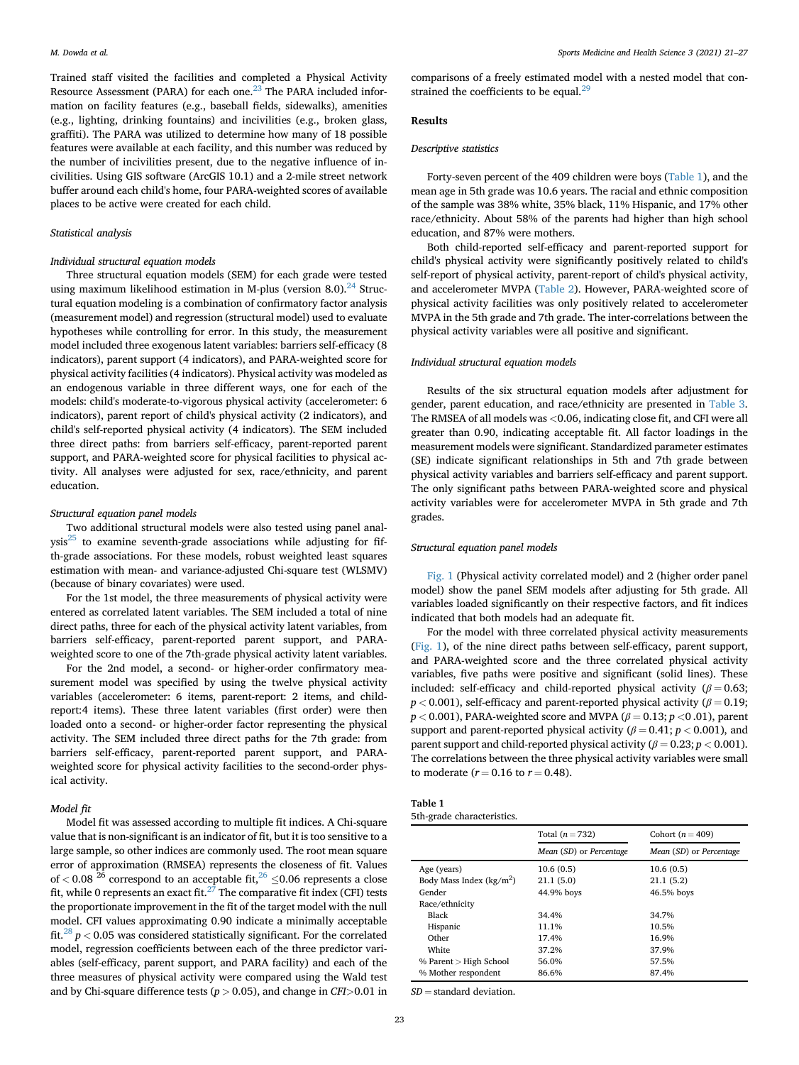Trained staff visited the facilities and completed a Physical Activity Resource Assessment (PARA) for each one.<sup>[23](#page-6-7)</sup> The PARA included information on facility features (e.g., baseball fields, sidewalks), amenities (e.g., lighting, drinking fountains) and incivilities (e.g., broken glass, graffiti). The PARA was utilized to determine how many of 18 possible features were available at each facility, and this number was reduced by the number of incivilities present, due to the negative influence of incivilities. Using GIS software (ArcGIS 10.1) and a 2-mile street network buffer around each child's home, four PARA-weighted scores of available places to be active were created for each child.

#### Statistical analysis

#### Individual structural equation models

Three structural equation models (SEM) for each grade were tested using maximum likelihood estimation in M-plus (version 8.0). $^{24}$  $^{24}$  $^{24}$  Structural equation modeling is a combination of confirmatory factor analysis (measurement model) and regression (structural model) used to evaluate hypotheses while controlling for error. In this study, the measurement model included three exogenous latent variables: barriers self-efficacy (8 indicators), parent support (4 indicators), and PARA-weighted score for physical activity facilities (4 indicators). Physical activity was modeled as an endogenous variable in three different ways, one for each of the models: child's moderate-to-vigorous physical activity (accelerometer: 6 indicators), parent report of child's physical activity (2 indicators), and child's self-reported physical activity (4 indicators). The SEM included three direct paths: from barriers self-efficacy, parent-reported parent support, and PARA-weighted score for physical facilities to physical activity. All analyses were adjusted for sex, race/ethnicity, and parent education.

#### Structural equation panel models

Two additional structural models were also tested using panel anal- $ysis<sup>25</sup>$  $ysis<sup>25</sup>$  $ysis<sup>25</sup>$  to examine seventh-grade associations while adjusting for fifth-grade associations. For these models, robust weighted least squares estimation with mean- and variance-adjusted Chi-square test (WLSMV) (because of binary covariates) were used.

For the 1st model, the three measurements of physical activity were entered as correlated latent variables. The SEM included a total of nine direct paths, three for each of the physical activity latent variables, from barriers self-efficacy, parent-reported parent support, and PARAweighted score to one of the 7th-grade physical activity latent variables.

For the 2nd model, a second- or higher-order confirmatory measurement model was specified by using the twelve physical activity variables (accelerometer: 6 items, parent-report: 2 items, and childreport:4 items). These three latent variables (first order) were then loaded onto a second- or higher-order factor representing the physical activity. The SEM included three direct paths for the 7th grade: from barriers self-efficacy, parent-reported parent support, and PARAweighted score for physical activity facilities to the second-order physical activity.

#### Model fit

Model fit was assessed according to multiple fit indices. A Chi-square value that is non-significant is an indicator of fit, but it is too sensitive to a large sample, so other indices are commonly used. The root mean square error of approximation (RMSEA) represents the closeness of fit. Values of < 0.08  $^{26}$  $^{26}$  $^{26}$  correspond to an acceptable fit,  $^{26}$   $\leq$  0.06 represents a close fit, while 0 represents an exact fit.<sup>[27](#page-6-11)</sup> The comparative fit index (CFI) tests the proportionate improvement in the fit of the target model with the null model. CFI values approximating 0.90 indicate a minimally acceptable fit.<sup>[28](#page-6-12)</sup>  $p < 0.05$  was considered statistically significant. For the correlated model, regression coefficients between each of the three predictor variables (self-efficacy, parent support, and PARA facility) and each of the three measures of physical activity were compared using the Wald test and by Chi-square difference tests ( $p > 0.05$ ), and change in CFI $> 0.01$  in comparisons of a freely estimated model with a nested model that constrained the coefficients to be equal. $^{29}$  $^{29}$  $^{29}$ 

#### Results

#### Descriptive statistics

Forty-seven percent of the 409 children were boys [\(Table 1](#page-2-0)), and the mean age in 5th grade was 10.6 years. The racial and ethnic composition of the sample was 38% white, 35% black, 11% Hispanic, and 17% other race/ethnicity. About 58% of the parents had higher than high school education, and 87% were mothers.

Both child-reported self-efficacy and parent-reported support for child's physical activity were significantly positively related to child's self-report of physical activity, parent-report of child's physical activity, and accelerometer MVPA ([Table 2](#page-3-0)). However, PARA-weighted score of physical activity facilities was only positively related to accelerometer MVPA in the 5th grade and 7th grade. The inter-correlations between the physical activity variables were all positive and significant.

#### Individual structural equation models

Results of the six structural equation models after adjustment for gender, parent education, and race/ethnicity are presented in [Table 3.](#page-3-1) The RMSEA of all models was <0.06, indicating close fit, and CFI were all greater than 0.90, indicating acceptable fit. All factor loadings in the measurement models were significant. Standardized parameter estimates (SE) indicate significant relationships in 5th and 7th grade between physical activity variables and barriers self-efficacy and parent support. The only significant paths between PARA-weighted score and physical activity variables were for accelerometer MVPA in 5th grade and 7th grades.

#### Structural equation panel models

[Fig. 1](#page-4-0) (Physical activity correlated model) and 2 (higher order panel model) show the panel SEM models after adjusting for 5th grade. All variables loaded significantly on their respective factors, and fit indices indicated that both models had an adequate fit.

For the model with three correlated physical activity measurements ([Fig. 1\)](#page-4-0), of the nine direct paths between self-efficacy, parent support, and PARA-weighted score and the three correlated physical activity variables, five paths were positive and significant (solid lines). These included: self-efficacy and child-reported physical activity ( $\beta = 0.63$ ;  $p < 0.001$ ), self-efficacy and parent-reported physical activity ( $\beta = 0.19$ ;  $p < 0.001$ ), PARA-weighted score and MVPA ( $\beta = 0.13$ ;  $p < 0.01$ ), parent support and parent-reported physical activity ( $\beta$  = 0.41; p < 0.001), and parent support and child-reported physical activity ( $\beta = 0.23$ ;  $p < 0.001$ ). The correlations between the three physical activity variables were small to moderate ( $r = 0.16$  to  $r = 0.48$ ).

<span id="page-2-0"></span>

| Table 1 |                            |
|---------|----------------------------|
|         | 5th-grade characteristics. |

|                            | Total $(n = 732)$       | Cohort ( $n = 409$ )    |
|----------------------------|-------------------------|-------------------------|
|                            | Mean (SD) or Percentage | Mean (SD) or Percentage |
| Age (years)                | 10.6(0.5)               | 10.6(0.5)               |
| Body Mass Index $(kg/m^2)$ | 21.1(5.0)               | 21.1(5.2)               |
| Gender                     | 44.9% boys              | 46.5% boys              |
| Race/ethnicity             |                         |                         |
| Black                      | 34.4%                   | 34.7%                   |
| Hispanic                   | 11.1%                   | 10.5%                   |
| Other                      | 17.4%                   | 16.9%                   |
| White                      | 37.2%                   | 37.9%                   |
| % Parent > High School     | 56.0%                   | 57.5%                   |
| % Mother respondent        | 86.6%                   | 87.4%                   |
|                            |                         |                         |

 $SD =$  standard deviation.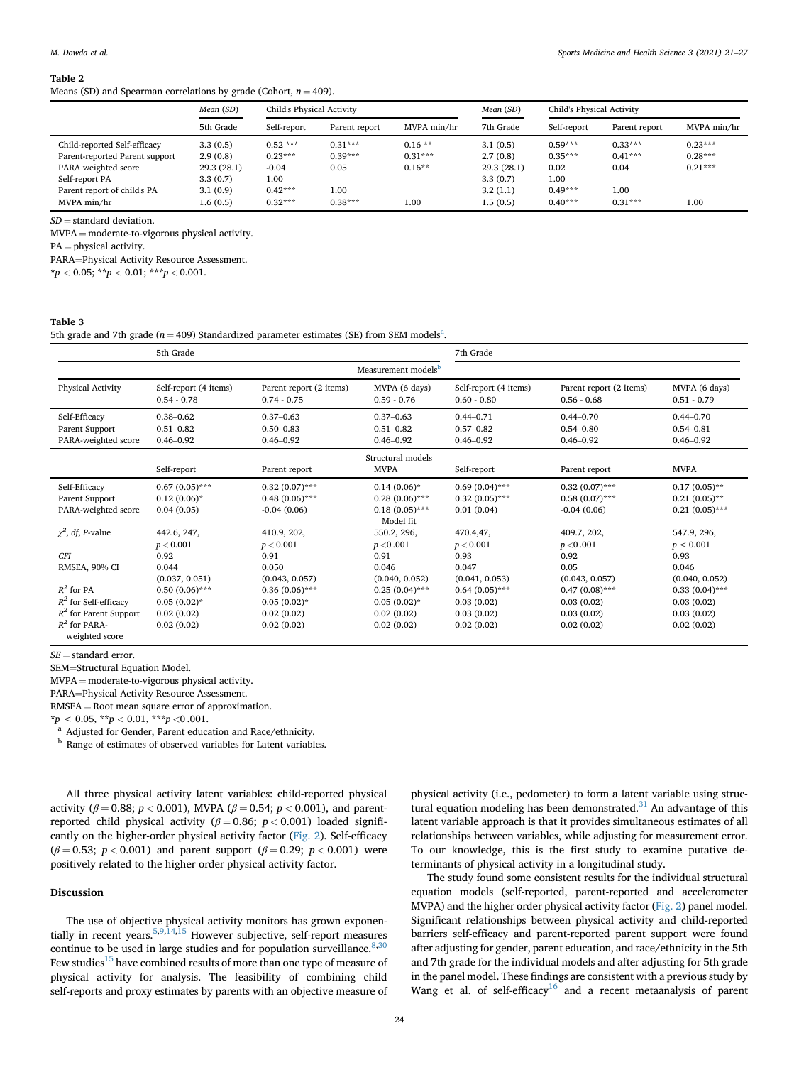<span id="page-3-0"></span>Means (SD) and Spearman correlations by grade (Cohort,  $n = 409$ ).

|                                | Mean (SD)  | Child's Physical Activity |               | Mean (SD)   | Child's Physical Activity |             |               |             |
|--------------------------------|------------|---------------------------|---------------|-------------|---------------------------|-------------|---------------|-------------|
|                                | 5th Grade  | Self-report               | Parent report | MVPA min/hr | 7th Grade                 | Self-report | Parent report | MVPA min/hr |
| Child-reported Self-efficacy   | 3.3(0.5)   | $0.52***$                 | $0.31***$     | $0.16**$    | 3.1(0.5)                  | $0.59***$   | $0.33***$     | $0.23***$   |
| Parent-reported Parent support | 2.9(0.8)   | $0.23***$                 | $0.39***$     | $0.31***$   | 2.7(0.8)                  | $0.35***$   | $0.41***$     | $0.28***$   |
| PARA weighted score            | 29.3(28.1) | $-0.04$                   | 0.05          | $0.16**$    | 29.3(28.1)                | 0.02        | 0.04          | $0.21***$   |
| Self-report PA                 | 3.3(0.7)   | 1.00                      |               |             | 3.3(0.7)                  | 1.00        |               |             |
| Parent report of child's PA    | 3.1(0.9)   | $0.42***$                 | 1.00          |             | 3.2(1.1)                  | $0.49***$   | 1.00          |             |
| MVPA min/hr                    | 1.6(0.5)   | $0.32***$                 | $0.38***$     | 1.00        | 1.5(0.5)                  | $0.40***$   | $0.31***$     | 1.00        |

 $SD =$  standard deviation.

 $MVPA = moderate-to-vigorous physical activity.$ 

 $PA =$  physical activity.

PARA=Physical Activity Resource Assessment.

 $*p < 0.05; **p < 0.01; **p < 0.001.$ 

<span id="page-3-1"></span>Table 3

5th gr[a](#page-3-2)de and 7th grade ( $n = 409$ ) Standardized parameter estimates (SE) from SEM models<sup>a</sup>.

|                                                        | 5th Grade                                       |                                                 |                                                 | 7th Grade                                       |                                                 |                                                 |  |  |
|--------------------------------------------------------|-------------------------------------------------|-------------------------------------------------|-------------------------------------------------|-------------------------------------------------|-------------------------------------------------|-------------------------------------------------|--|--|
| Measurement models <sup>b</sup>                        |                                                 |                                                 |                                                 |                                                 |                                                 |                                                 |  |  |
| Physical Activity                                      | Self-report (4 items)<br>$0.54 - 0.78$          | Parent report (2 items)<br>$0.74 - 0.75$        | MVPA (6 days)<br>$0.59 - 0.76$                  | Self-report (4 items)<br>$0.60 - 0.80$          | Parent report (2 items)<br>$0.56 - 0.68$        | MVPA (6 days)<br>$0.51 - 0.79$                  |  |  |
| Self-Efficacy<br>Parent Support<br>PARA-weighted score | $0.38 - 0.62$<br>$0.51 - 0.82$<br>$0.46 - 0.92$ | $0.37 - 0.63$<br>$0.50 - 0.83$<br>$0.46 - 0.92$ | $0.37 - 0.63$<br>$0.51 - 0.82$<br>$0.46 - 0.92$ | $0.44 - 0.71$<br>$0.57 - 0.82$<br>$0.46 - 0.92$ | $0.44 - 0.70$<br>$0.54 - 0.80$<br>$0.46 - 0.92$ | $0.44 - 0.70$<br>$0.54 - 0.81$<br>$0.46 - 0.92$ |  |  |
| Structural models                                      |                                                 |                                                 |                                                 |                                                 |                                                 |                                                 |  |  |
|                                                        | Self-report                                     | Parent report                                   | <b>MVPA</b>                                     | Self-report                                     | Parent report                                   | <b>MVPA</b>                                     |  |  |
| Self-Efficacy                                          | $0.67(0.05)$ ***                                | $0.32(0.07)$ ***                                | $0.14(0.06)*$                                   | $0.69(0.04)$ ***                                | $0.32(0.07)$ ***                                | $0.17(0.05)$ **                                 |  |  |
| Parent Support                                         | $0.12(0.06)*$                                   | $0.48(0.06)$ ***                                | $0.28(0.06)$ ***                                | $0.32(0.05)$ ***                                | $0.58(0.07)$ ***                                | $0.21(0.05)$ **                                 |  |  |
| PARA-weighted score                                    | 0.04(0.05)                                      | $-0.04(0.06)$                                   | $0.18(0.05)$ ***<br>Model fit                   | 0.01(0.04)                                      | $-0.04(0.06)$                                   | $0.21(0.05)$ ***                                |  |  |
| $\chi^2$ , df, P-value                                 | 442.6, 247,                                     | 410.9, 202,                                     | 550.2, 296,                                     | 470.4,47,                                       | 409.7, 202,                                     | 547.9, 296,                                     |  |  |
|                                                        | p < 0.001                                       | p < 0.001                                       | p < 0.001                                       | p < 0.001                                       | p < 0.001                                       | p < 0.001                                       |  |  |
| <b>CFI</b>                                             | 0.92                                            | 0.91                                            | 0.91                                            | 0.93                                            | 0.92                                            | 0.93                                            |  |  |
| RMSEA, 90% CI                                          | 0.044                                           | 0.050                                           | 0.046                                           | 0.047                                           | 0.05                                            | 0.046                                           |  |  |
|                                                        | (0.037, 0.051)                                  | (0.043, 0.057)                                  | (0.040, 0.052)                                  | (0.041, 0.053)                                  | (0.043, 0.057)                                  | (0.040, 0.052)                                  |  |  |
| $R^2$ for PA                                           | $0.50(0.06)$ ***                                | $0.36(0.06)$ ***                                | $0.25(0.04)$ ***                                | $0.64(0.05)$ ***                                | $0.47(0.08)$ ***                                | $0.33(0.04)$ ***                                |  |  |
| $R^2$ for Self-efficacy                                | $0.05(0.02)$ *                                  | $0.05(0.02)^{*}$                                | $0.05(0.02)^{*}$                                | 0.03(0.02)                                      | 0.03(0.02)                                      | 0.03(0.02)                                      |  |  |
| $R^2$ for Parent Support                               | 0.02(0.02)                                      | 0.02(0.02)                                      | 0.02(0.02)                                      | 0.03(0.02)                                      | 0.03(0.02)                                      | 0.03(0.02)                                      |  |  |
| $R^2$ for PARA-                                        | 0.02(0.02)                                      | 0.02(0.02)                                      | 0.02(0.02)                                      | 0.02(0.02)                                      | 0.02(0.02)                                      | 0.02(0.02)                                      |  |  |
| weighted score                                         |                                                 |                                                 |                                                 |                                                 |                                                 |                                                 |  |  |

 $SE =$  standard error.

SEM=Structural Equation Model.

 $MVPA = moderate-to-vigorous physical activity.$ 

PARA=Physical Activity Resource Assessment.

 $RMSEA = Root$  mean square error of approximation.

 $^{\star}p$  < 0.05,  $^{\star\star}p$  < 0.01,  $^{\star\star\star}p$  <0.001.

<span id="page-3-2"></span><sup>a</sup> Adjusted for Gender, Parent education and Race/ethnicity.

<span id="page-3-3"></span><sup>b</sup> Range of estimates of observed variables for Latent variables.

All three physical activity latent variables: child-reported physical activity ( $\beta = 0.88$ ;  $p < 0.001$ ), MVPA ( $\beta = 0.54$ ;  $p < 0.001$ ), and parentreported child physical activity ( $\beta$  = 0.86; p < 0.001) loaded significantly on the higher-order physical activity factor ([Fig. 2\)](#page-5-11). Self-efficacy ( $\beta$  = 0.53; p < 0.001) and parent support ( $\beta$  = 0.29; p < 0.001) were positively related to the higher order physical activity factor.

#### Discussion

The use of objective physical activity monitors has grown exponentially in recent years[.5](#page-5-4)[,9](#page-5-8)[,14](#page-6-1)[,15](#page-6-14) However subjective, self-report measures continue to be used in large studies and for population surveillance.  $8,30$  $8,30$  $8,30$ Few studies<sup>[15](#page-6-14)</sup> have combined results of more than one type of measure of physical activity for analysis. The feasibility of combining child self-reports and proxy estimates by parents with an objective measure of

physical activity (i.e., pedometer) to form a latent variable using struc-tural equation modeling has been demonstrated.<sup>[31](#page-6-16)</sup> An advantage of this latent variable approach is that it provides simultaneous estimates of all relationships between variables, while adjusting for measurement error. To our knowledge, this is the first study to examine putative determinants of physical activity in a longitudinal study.

The study found some consistent results for the individual structural equation models (self-reported, parent-reported and accelerometer MVPA) and the higher order physical activity factor [\(Fig. 2](#page-5-11)) panel model. Significant relationships between physical activity and child-reported barriers self-efficacy and parent-reported parent support were found after adjusting for gender, parent education, and race/ethnicity in the 5th and 7th grade for the individual models and after adjusting for 5th grade in the panel model. These findings are consistent with a previous study by Wang et al. of self-efficacy<sup>16</sup> and a recent metaanalysis of parent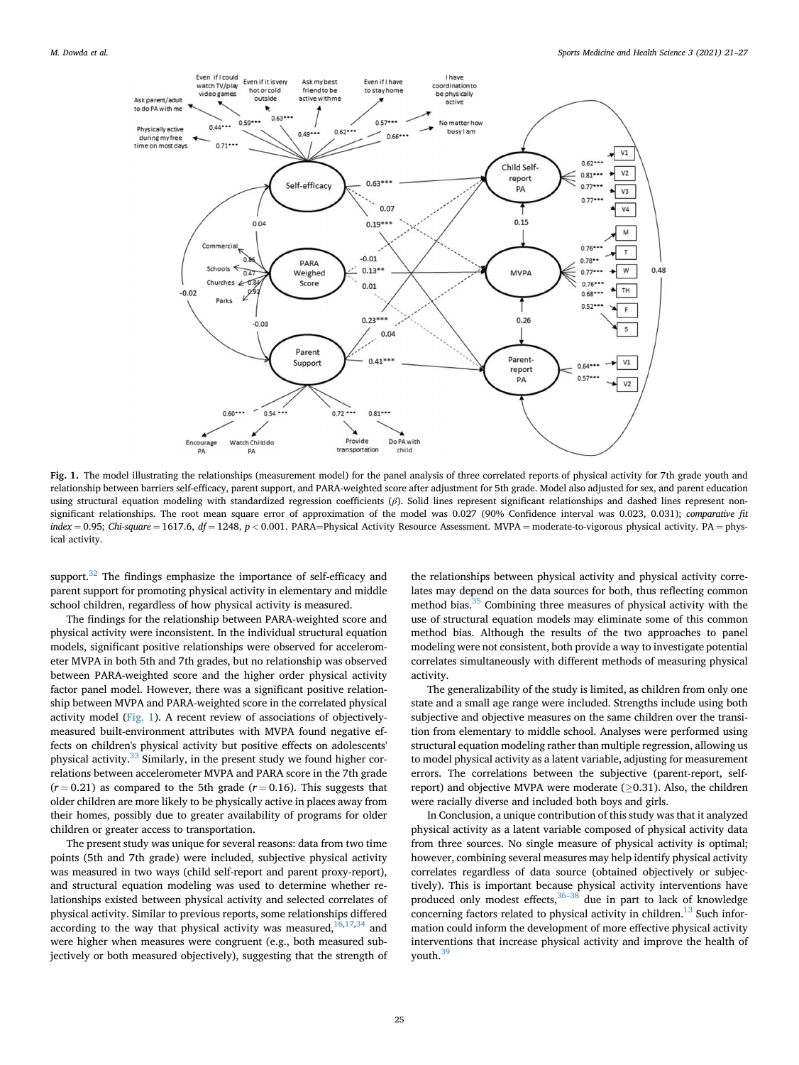<span id="page-4-0"></span>

Fig. 1. The model illustrating the relationships (measurement model) for the panel analysis of three correlated reports of physical activity for 7th grade youth and relationship between barriers self-efficacy, parent support, and PARA-weighted score after adjustment for 5th grade. Model also adjusted for sex, and parent education using structural equation modeling with standardized regression coefficients  $(\beta)$ . Solid lines represent significant relationships and dashed lines represent nonsignificant relationships. The root mean square error of approximation of the model was 0.027 (90% Confidence interval was 0.023, 0.031); comparative fit  $index = 0.95$ ; Chi-square = 1617.6,  $df = 1248$ ,  $p < 0.001$ . PARA=Physical Activity Resource Assessment. MVPA = moderate-to-vigorous physical activity. PA = physical activity.

support.<sup>32</sup> The findings emphasize the importance of self-efficacy and parent support for promoting physical activity in elementary and middle school children, regardless of how physical activity is measured.

The findings for the relationship between PARA-weighted score and physical activity were inconsistent. In the individual structural equation models, significant positive relationships were observed for accelerometer MVPA in both 5th and 7th grades, but no relationship was observed between PARA-weighted score and the higher order physical activity factor panel model. However, there was a significant positive relationship between MVPA and PARA-weighted score in the correlated physical activity model ([Fig. 1](#page-4-0)). A recent review of associations of objectivelymeasured built-environment attributes with MVPA found negative effects on children's physical activity but positive effects on adolescents' physical activity.<sup>[33](#page-6-19)</sup> Similarly, in the present study we found higher correlations between accelerometer MVPA and PARA score in the 7th grade  $(r = 0.21)$  as compared to the 5th grade  $(r = 0.16)$ . This suggests that older children are more likely to be physically active in places away from their homes, possibly due to greater availability of programs for older children or greater access to transportation.

The present study was unique for several reasons: data from two time points (5th and 7th grade) were included, subjective physical activity was measured in two ways (child self-report and parent proxy-report), and structural equation modeling was used to determine whether relationships existed between physical activity and selected correlates of physical activity. Similar to previous reports, some relationships differed according to the way that physical activity was measured, $16,17,34$  $16,17,34$  $16,17,34$  $16,17,34$  and were higher when measures were congruent (e.g., both measured subjectively or both measured objectively), suggesting that the strength of the relationships between physical activity and physical activity correlates may depend on the data sources for both, thus reflecting common method bias.[35](#page-6-22) Combining three measures of physical activity with the use of structural equation models may eliminate some of this common method bias. Although the results of the two approaches to panel modeling were not consistent, both provide a way to investigate potential correlates simultaneously with different methods of measuring physical activity.

The generalizability of the study is limited, as children from only one state and a small age range were included. Strengths include using both subjective and objective measures on the same children over the transition from elementary to middle school. Analyses were performed using structural equation modeling rather than multiple regression, allowing us to model physical activity as a latent variable, adjusting for measurement errors. The correlations between the subjective (parent-report, selfreport) and objective MVPA were moderate  $(>0.31)$ . Also, the children were racially diverse and included both boys and girls.

In Conclusion, a unique contribution of this study was that it analyzed physical activity as a latent variable composed of physical activity data from three sources. No single measure of physical activity is optimal; however, combining several measures may help identify physical activity correlates regardless of data source (obtained objectively or subjectively). This is important because physical activity interventions have produced only modest effects,  $36-38$  $36-38$  $36-38$  due in part to lack of knowledge concerning factors related to physical activity in children. $13$  Such information could inform the development of more effective physical activity interventions that increase physical activity and improve the health of youth.<sup>[39](#page-6-24)</sup>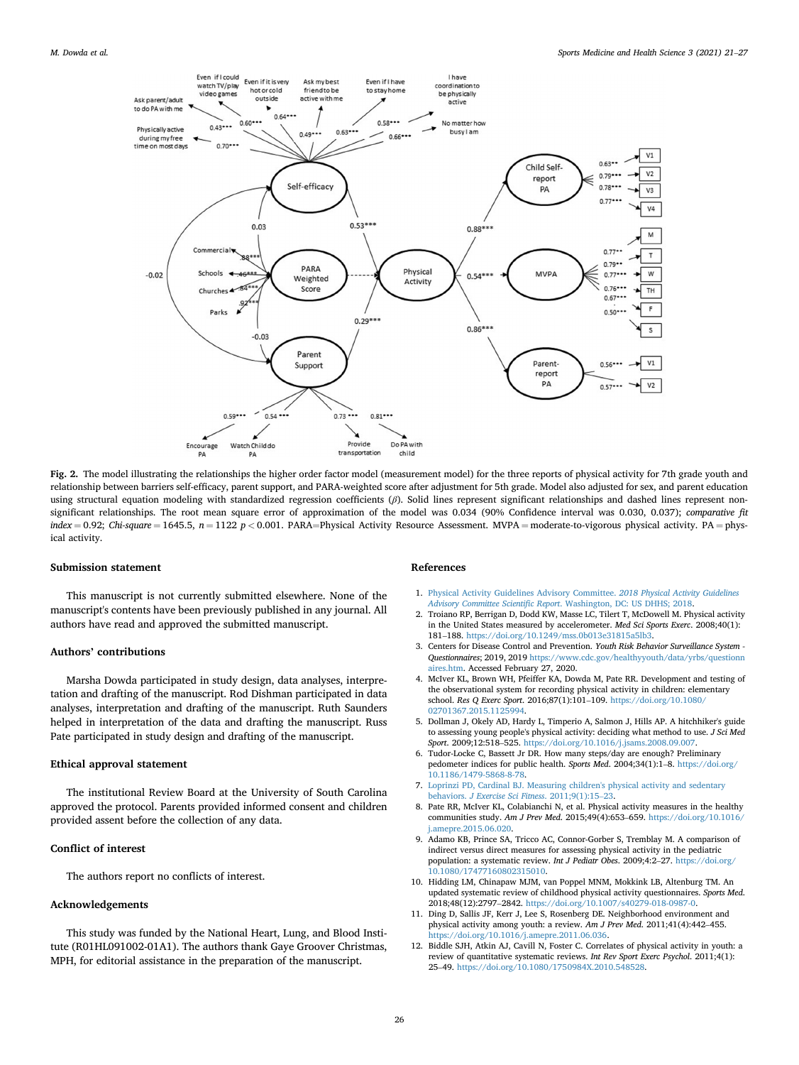<span id="page-5-11"></span>

Fig. 2. The model illustrating the relationships the higher order factor model (measurement model) for the three reports of physical activity for 7th grade youth and relationship between barriers self-efficacy, parent support, and PARA-weighted score after adjustment for 5th grade. Model also adjusted for sex, and parent education using structural equation modeling with standardized regression coefficients (β). Solid lines represent significant relationships and dashed lines represent nonsignificant relationships. The root mean square error of approximation of the model was 0.034 (90% Confidence interval was 0.030, 0.037); comparative fit  $index = 0.92$ ; Chi-square = 1645.5,  $n = 1122$  p < 0.001. PARA=Physical Activity Resource Assessment. MVPA = moderate-to-vigorous physical activity. PA = physical activity.

#### Submission statement

This manuscript is not currently submitted elsewhere. None of the manuscript's contents have been previously published in any journal. All authors have read and approved the submitted manuscript.

#### Authors' contributions

Marsha Dowda participated in study design, data analyses, interpretation and drafting of the manuscript. Rod Dishman participated in data analyses, interpretation and drafting of the manuscript. Ruth Saunders helped in interpretation of the data and drafting the manuscript. Russ Pate participated in study design and drafting of the manuscript.

#### Ethical approval statement

The institutional Review Board at the University of South Carolina approved the protocol. Parents provided informed consent and children provided assent before the collection of any data.

#### Conflict of interest

The authors report no conflicts of interest.

#### Acknowledgements

This study was funded by the National Heart, Lung, and Blood Institute (R01HL091002-01A1). The authors thank Gaye Groover Christmas, MPH, for editorial assistance in the preparation of the manuscript.

#### References

- <span id="page-5-0"></span>1. [Physical Activity Guidelines Advisory Committee.](http://refhub.elsevier.com/S2666-3376(21)00006-8/sref1) 2018 Physical Activity Guidelines Advisory Committee Scientific Report[. Washington, DC: US DHHS; 2018](http://refhub.elsevier.com/S2666-3376(21)00006-8/sref1).
- <span id="page-5-1"></span>2. Troiano RP, Berrigan D, Dodd KW, Masse LC, Tilert T, McDowell M. Physical activity in the United States measured by accelerometer. Med Sci Sports Exerc. 2008;40(1): <sup>181</sup>–188. <https://doi.org/10.1249/mss.0b013e31815a5lb3>.
- <span id="page-5-2"></span>3. Centers for Disease Control and Prevention. Youth Risk Behavior Surveillance System - Questionnaires; 2019, 2019 [https://www.cdc.gov/healthyyouth/data/yrbs/questionn](https://www.cdc.gov/healthyyouth/data/yrbs/questionnaires.htm) [aires.htm](https://www.cdc.gov/healthyyouth/data/yrbs/questionnaires.htm). Accessed February 27, 2020.
- <span id="page-5-3"></span>4. McIver KL, Brown WH, Pfeiffer KA, Dowda M, Pate RR. Development and testing of the observational system for recording physical activity in children: elementary school. Res Q Exerc Sport. 2016;87(1):101–109. [https://doi.org/10.1080/](https://doi.org/10.1080/02701367.2015.1125994) [02701367.2015.1125994.](https://doi.org/10.1080/02701367.2015.1125994)
- <span id="page-5-4"></span>5. Dollman J, Okely AD, Hardy L, Timperio A, Salmon J, Hills AP. A hitchhiker's guide to assessing young people's physical activity: deciding what method to use. J Sci Med Sport. 2009;12:518–525. <https://doi.org/10.1016/j.jsams.2008.09.007>.
- <span id="page-5-5"></span>6. Tudor-Locke C, Bassett Jr DR. How many steps/day are enough? Preliminary pedometer indices for public health. Sports Med. 2004;34(1):1–8. [https://doi.org/](https://doi.org/10.1186/1479-5868-8-78) [10.1186/1479-5868-8-78](https://doi.org/10.1186/1479-5868-8-78).
- <span id="page-5-6"></span>7. [Loprinzi PD, Cardinal BJ. Measuring children's physical activity and sedentary](http://refhub.elsevier.com/S2666-3376(21)00006-8/sref7) behaviors. [J Exercise Sci Fitness](http://refhub.elsevier.com/S2666-3376(21)00006-8/sref7). 2011;9(1):15–[23](http://refhub.elsevier.com/S2666-3376(21)00006-8/sref7).
- <span id="page-5-7"></span>8. Pate RR, McIver KL, Colabianchi N, et al. Physical activity measures in the healthy communities study. Am J Prev Med. 2015;49(4):653–659. [https://doi.org/10.1016/](https://doi.org/10.1016/j.amepre.2015.06.020) [j.amepre.2015.06.020](https://doi.org/10.1016/j.amepre.2015.06.020).
- <span id="page-5-8"></span>9. Adamo KB, Prince SA, Tricco AC, Connor-Gorber S, Tremblay M. A comparison of indirect versus direct measures for assessing physical activity in the pediatric population: a systematic review. Int J Pediatr Obes. 2009;4:2–27. [https://doi.org/](https://doi.org/10.1080/17477160802315010) [10.1080/17477160802315010.](https://doi.org/10.1080/17477160802315010)
- <span id="page-5-9"></span>10. Hidding LM, Chinapaw MJM, van Poppel MNM, Mokkink LB, Altenburg TM. An updated systematic review of childhood physical activity questionnaires. Sports Med. 2018;48(12):2797–2842. [https://doi.org/10.1007/s40279-018-0987-0.](https://doi.org/10.1007/s40279-018-0987-0)
- <span id="page-5-10"></span>11. Ding D, Sallis JF, Kerr J, Lee S, Rosenberg DE. Neighborhood environment and physical activity among youth: a review. Am J Prev Med. 2011;41(4):442–455. [https://doi.org/10.1016/j.amepre.2011.06.036.](https://doi.org/10.1016/j.amepre.2011.06.036)
- 12. Biddle SJH, Atkin AJ, Cavill N, Foster C. Correlates of physical activity in youth: a review of quantitative systematic reviews. Int Rev Sport Exerc Psychol. 2011;4(1): <sup>25</sup>–49. [https://doi.org/10.1080/1750984X.2010.548528.](https://doi.org/10.1080/1750984X.2010.548528)